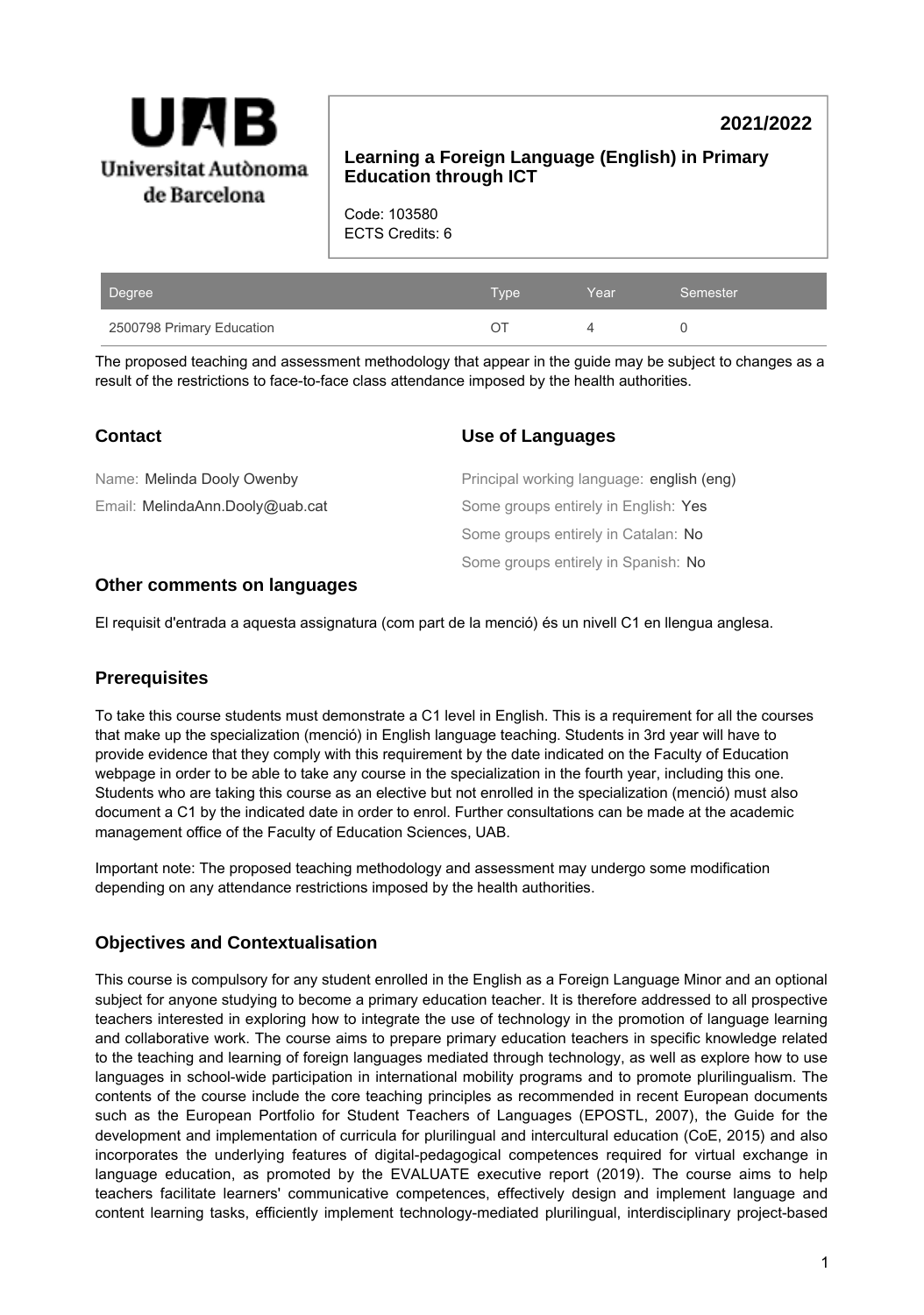

# **2021/2022**

### **Learning a Foreign Language (English) in Primary Education through ICT**

Code: 103580 ECTS Credits: 6

| Degree                    | Type \ | Year | Semester |
|---------------------------|--------|------|----------|
| 2500798 Primary Education |        |      |          |

The proposed teaching and assessment methodology that appear in the guide may be subject to changes as a result of the restrictions to face-to-face class attendance imposed by the health authorities.

| <b>Contact</b>                  | <b>Use of Languages</b>                   |
|---------------------------------|-------------------------------------------|
| Name: Melinda Dooly Owenby      | Principal working language: english (eng) |
| Email: MelindaAnn.Dooly@uab.cat | Some groups entirely in English: Yes      |
|                                 | Some groups entirely in Catalan: No       |
|                                 | Some groups entirely in Spanish: No       |
|                                 |                                           |

#### **Other comments on languages**

El requisit d'entrada a aquesta assignatura (com part de la menció) és un nivell C1 en llengua anglesa.

### **Prerequisites**

To take this course students must demonstrate a C1 level in English. This is a requirement for all the courses that make up the specialization (menció) in English language teaching. Students in 3rd year will have to provide evidence that they comply with this requirement by the date indicated on the Faculty of Education webpage in order to be able to take any course in the specialization in the fourth year, including this one. Students who are taking this course as an elective but not enrolled in the specialization (menció) must also document a C1 by the indicated date in order to enrol. Further consultations can be made at the academic management office of the Faculty of Education Sciences, UAB.

Important note: The proposed teaching methodology and assessment may undergo some modification depending on any attendance restrictions imposed by the health authorities.

### **Objectives and Contextualisation**

This course is compulsory for any student enrolled in the English as a Foreign Language Minor and an optional subject for anyone studying to become a primary education teacher. It is therefore addressed to all prospective teachers interested in exploring how to integrate the use of technology in the promotion of language learning and collaborative work. The course aims to prepare primary education teachers in specific knowledge related to the teaching and learning of foreign languages mediated through technology, as well as explore how to use languages in school-wide participation in international mobility programs and to promote plurilingualism. The contents of the course include the core teaching principles as recommended in recent European documents such as the European Portfolio for Student Teachers of Languages (EPOSTL, 2007), the Guide for the development and implementation of curricula for plurilingual and intercultural education (CoE, 2015) and also incorporates the underlying features of digital-pedagogical competences required for virtual exchange in language education, as promoted by the EVALUATE executive report (2019). The course aims to help teachers facilitate learners' communicative competences, effectively design and implement language and content learning tasks, efficiently implement technology-mediated plurilingual, interdisciplinary project-based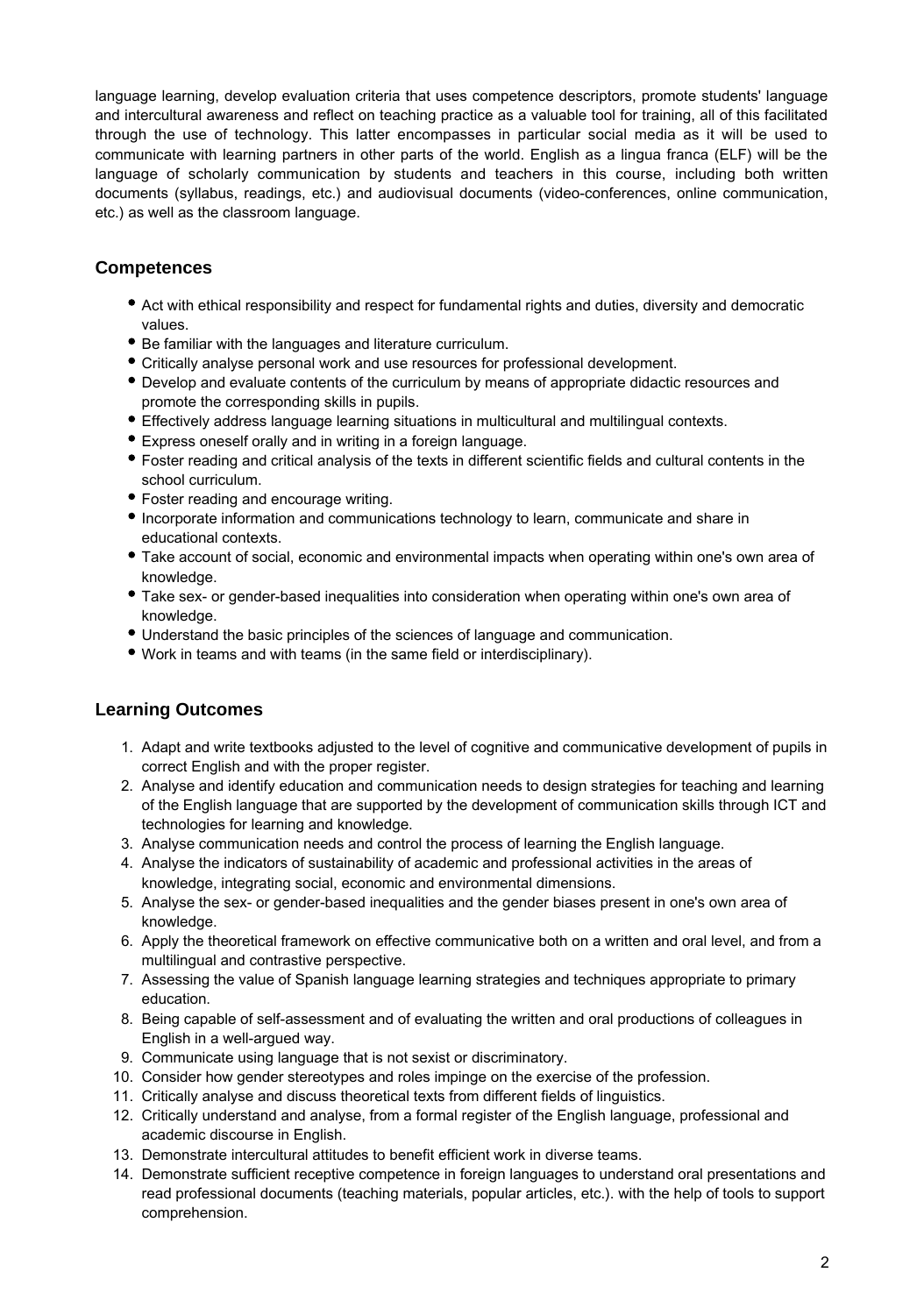language learning, develop evaluation criteria that uses competence descriptors, promote students' language and intercultural awareness and reflect on teaching practice as a valuable tool for training, all of this facilitated through the use of technology. This latter encompasses in particular social media as it will be used to communicate with learning partners in other parts of the world. English as a lingua franca (ELF) will be the language of scholarly communication by students and teachers in this course, including both written documents (syllabus, readings, etc.) and audiovisual documents (video-conferences, online communication, etc.) as well as the classroom language.

## **Competences**

- Act with ethical responsibility and respect for fundamental rights and duties, diversity and democratic values.
- Be familiar with the languages and literature curriculum.
- Critically analyse personal work and use resources for professional development.
- Develop and evaluate contents of the curriculum by means of appropriate didactic resources and promote the corresponding skills in pupils.
- Effectively address language learning situations in multicultural and multilingual contexts.
- Express oneself orally and in writing in a foreign language.
- Foster reading and critical analysis of the texts in different scientific fields and cultural contents in the school curriculum.
- Foster reading and encourage writing.
- Incorporate information and communications technology to learn, communicate and share in educational contexts.
- Take account of social, economic and environmental impacts when operating within one's own area of knowledge.
- Take sex- or gender-based inequalities into consideration when operating within one's own area of knowledge.
- Understand the basic principles of the sciences of language and communication.
- Work in teams and with teams (in the same field or interdisciplinary).

## **Learning Outcomes**

- 1. Adapt and write textbooks adjusted to the level of cognitive and communicative development of pupils in correct English and with the proper register.
- 2. Analyse and identify education and communication needs to design strategies for teaching and learning of the English language that are supported by the development of communication skills through ICT and technologies for learning and knowledge.
- 3. Analyse communication needs and control the process of learning the English language.
- 4. Analyse the indicators of sustainability of academic and professional activities in the areas of knowledge, integrating social, economic and environmental dimensions.
- 5. Analyse the sex- or gender-based inequalities and the gender biases present in one's own area of knowledge.
- 6. Apply the theoretical framework on effective communicative both on a written and oral level, and from a multilingual and contrastive perspective.
- 7. Assessing the value of Spanish language learning strategies and techniques appropriate to primary education.
- 8. Being capable of self-assessment and of evaluating the written and oral productions of colleagues in English in a well-argued way.
- 9. Communicate using language that is not sexist or discriminatory.
- 10. Consider how gender stereotypes and roles impinge on the exercise of the profession.
- 11. Critically analyse and discuss theoretical texts from different fields of linguistics.
- 12. Critically understand and analyse, from a formal register of the English language, professional and academic discourse in English.
- 13. Demonstrate intercultural attitudes to benefit efficient work in diverse teams.
- 14. Demonstrate sufficient receptive competence in foreign languages to understand oral presentations and read professional documents (teaching materials, popular articles, etc.). with the help of tools to support comprehension.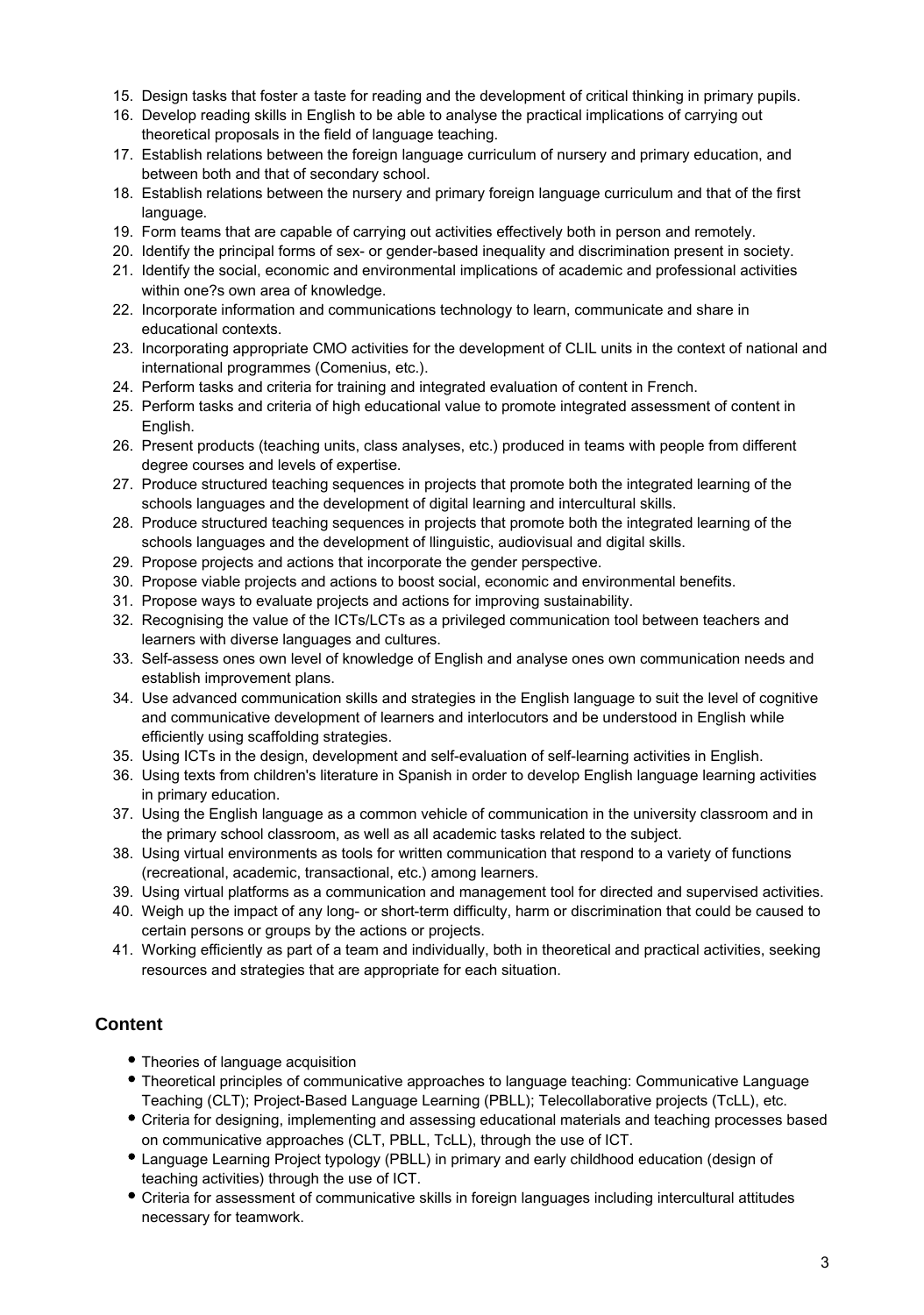- 15. Design tasks that foster a taste for reading and the development of critical thinking in primary pupils.
- 16. Develop reading skills in English to be able to analyse the practical implications of carrying out theoretical proposals in the field of language teaching.
- 17. Establish relations between the foreign language curriculum of nursery and primary education, and between both and that of secondary school.
- 18. Establish relations between the nursery and primary foreign language curriculum and that of the first language.
- 19. Form teams that are capable of carrying out activities effectively both in person and remotely.
- 20. Identify the principal forms of sex- or gender-based inequality and discrimination present in society.
- 21. Identify the social, economic and environmental implications of academic and professional activities within one?s own area of knowledge.
- 22. Incorporate information and communications technology to learn, communicate and share in educational contexts.
- 23. Incorporating appropriate CMO activities for the development of CLIL units in the context of national and international programmes (Comenius, etc.).
- 24. Perform tasks and criteria for training and integrated evaluation of content in French.
- 25. Perform tasks and criteria of high educational value to promote integrated assessment of content in English.
- 26. Present products (teaching units, class analyses, etc.) produced in teams with people from different degree courses and levels of expertise.
- 27. Produce structured teaching sequences in projects that promote both the integrated learning of the schools languages and the development of digital learning and intercultural skills.
- 28. Produce structured teaching sequences in projects that promote both the integrated learning of the schools languages and the development of llinguistic, audiovisual and digital skills.
- 29. Propose projects and actions that incorporate the gender perspective.
- 30. Propose viable projects and actions to boost social, economic and environmental benefits.
- 31. Propose ways to evaluate projects and actions for improving sustainability.
- 32. Recognising the value of the ICTs/LCTs as a privileged communication tool between teachers and learners with diverse languages and cultures.
- 33. Self-assess ones own level of knowledge of English and analyse ones own communication needs and establish improvement plans.
- 34. Use advanced communication skills and strategies in the English language to suit the level of cognitive and communicative development of learners and interlocutors and be understood in English while efficiently using scaffolding strategies.
- 35. Using ICTs in the design, development and self-evaluation of self-learning activities in English.
- 36. Using texts from children's literature in Spanish in order to develop English language learning activities in primary education.
- 37. Using the English language as a common vehicle of communication in the university classroom and in the primary school classroom, as well as all academic tasks related to the subject.
- 38. Using virtual environments as tools for written communication that respond to a variety of functions (recreational, academic, transactional, etc.) among learners.
- 39. Using virtual platforms as a communication and management tool for directed and supervised activities.
- 40. Weigh up the impact of any long- or short-term difficulty, harm or discrimination that could be caused to certain persons or groups by the actions or projects.
- 41. Working efficiently as part of a team and individually, both in theoretical and practical activities, seeking resources and strategies that are appropriate for each situation.

## **Content**

- Theories of language acquisition
- Theoretical principles of communicative approaches to language teaching: Communicative Language Teaching (CLT); Project-Based Language Learning (PBLL); Telecollaborative projects (TcLL), etc.
- Criteria for designing, implementing and assessing educational materials and teaching processes based on communicative approaches (CLT, PBLL, TcLL), through the use of ICT.
- Language Learning Project typology (PBLL) in primary and early childhood education (design of teaching activities) through the use of ICT.
- Criteria for assessment of communicative skills in foreign languages including intercultural attitudes necessary for teamwork.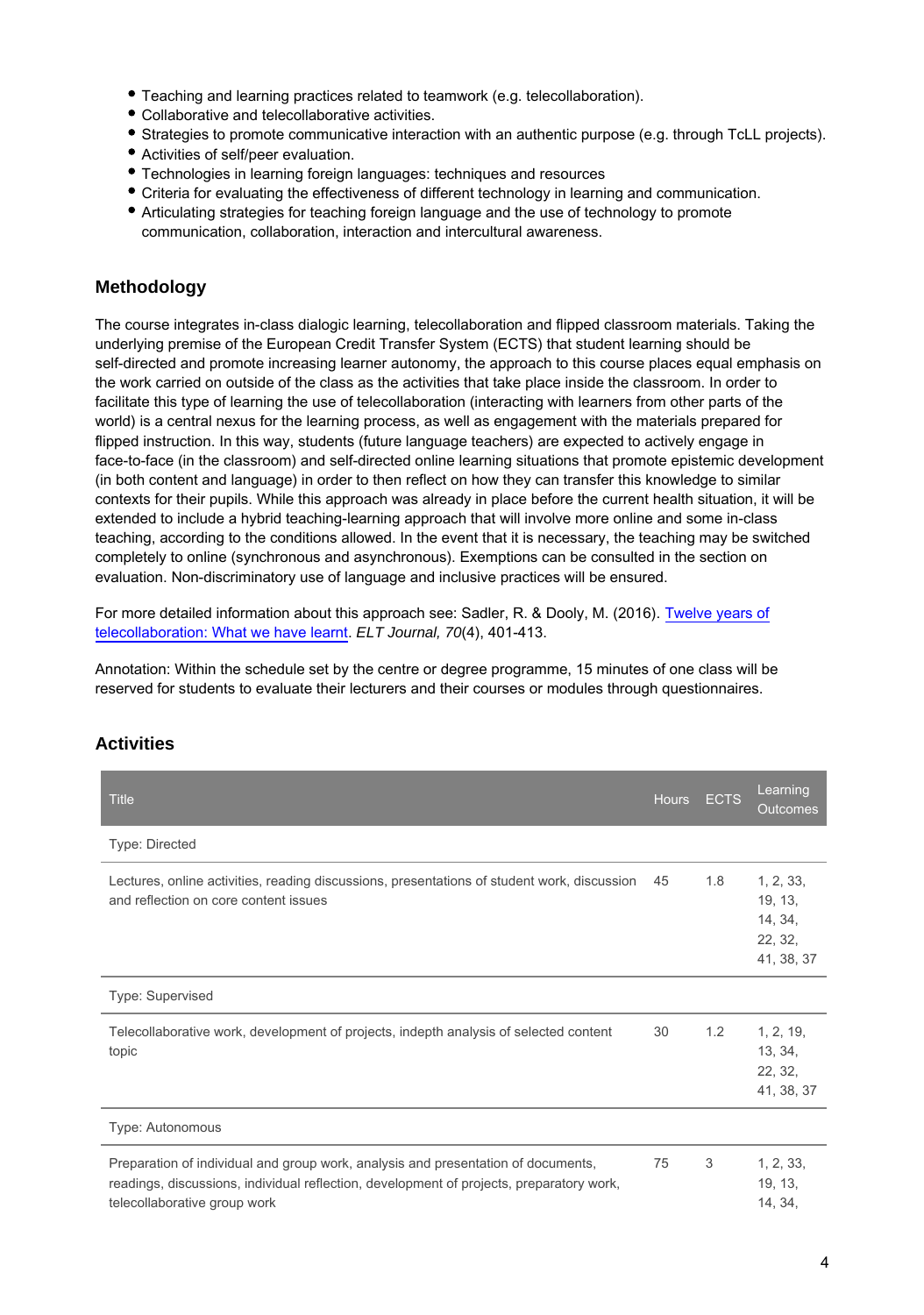- Teaching and learning practices related to teamwork (e.g. telecollaboration).
- Collaborative and telecollaborative activities.
- Strategies to promote communicative interaction with an authentic purpose (e.g. through TcLL projects).
- Activities of self/peer evaluation.
- Technologies in learning foreign languages: techniques and resources
- Criteria for evaluating the effectiveness of different technology in learning and communication.
- Articulating strategies for teaching foreign language and the use of technology to promote communication, collaboration, interaction and intercultural awareness.

### **Methodology**

The course integrates in-class dialogic learning, telecollaboration and flipped classroom materials. Taking the underlying premise of the European Credit Transfer System (ECTS) that student learning should be self-directed and promote increasing learner autonomy, the approach to this course places equal emphasis on the work carried on outside of the class as the activities that take place inside the classroom. In order to facilitate this type of learning the use of telecollaboration (interacting with learners from other parts of the world) is a central nexus for the learning process, as well as engagement with the materials prepared for flipped instruction. In this way, students (future language teachers) are expected to actively engage in face-to-face (in the classroom) and self-directed online learning situations that promote epistemic development (in both content and language) in order to then reflect on how they can transfer this knowledge to similar contexts for their pupils. While this approach was already in place before the current health situation, it will be extended to include a hybrid teaching-learning approach that will involve more online and some in-class teaching, according to the conditions allowed. In the event that it is necessary, the teaching may be switched completely to online (synchronous and asynchronous). Exemptions can be consulted in the section on evaluation. Non-discriminatory use of language and inclusive practices will be ensured.

For more detailed information about this approach see: Sadler, R. & Dooly, M. (2016). [Twelve years of](https://academic.oup.com/eltj/article/70/4/401/2452852) [telecollaboration: What we have learnt.](https://academic.oup.com/eltj/article/70/4/401/2452852) ELT Journal, 70(4), 401-413.

Annotation: Within the schedule set by the centre or degree programme, 15 minutes of one class will be reserved for students to evaluate their lecturers and their courses or modules through questionnaires.

### **Activities**

| <b>Title</b>                                                                                                                                                                                                  | <b>Hours</b> | <b>ECTS</b> | Learning<br><b>Outcomes</b>                              |
|---------------------------------------------------------------------------------------------------------------------------------------------------------------------------------------------------------------|--------------|-------------|----------------------------------------------------------|
| Type: Directed                                                                                                                                                                                                |              |             |                                                          |
| Lectures, online activities, reading discussions, presentations of student work, discussion<br>and reflection on core content issues                                                                          | 45           | 1.8         | 1, 2, 33,<br>19, 13,<br>14, 34,<br>22, 32,<br>41, 38, 37 |
| Type: Supervised                                                                                                                                                                                              |              |             |                                                          |
| Telecollaborative work, development of projects, indepth analysis of selected content<br>topic                                                                                                                | 30           | 1.2         | 1, 2, 19,<br>13, 34,<br>22, 32,<br>41, 38, 37            |
| Type: Autonomous                                                                                                                                                                                              |              |             |                                                          |
| Preparation of individual and group work, analysis and presentation of documents,<br>readings, discussions, individual reflection, development of projects, preparatory work,<br>telecollaborative group work | 75           | 3           | 1, 2, 33,<br>19, 13,<br>14, 34,                          |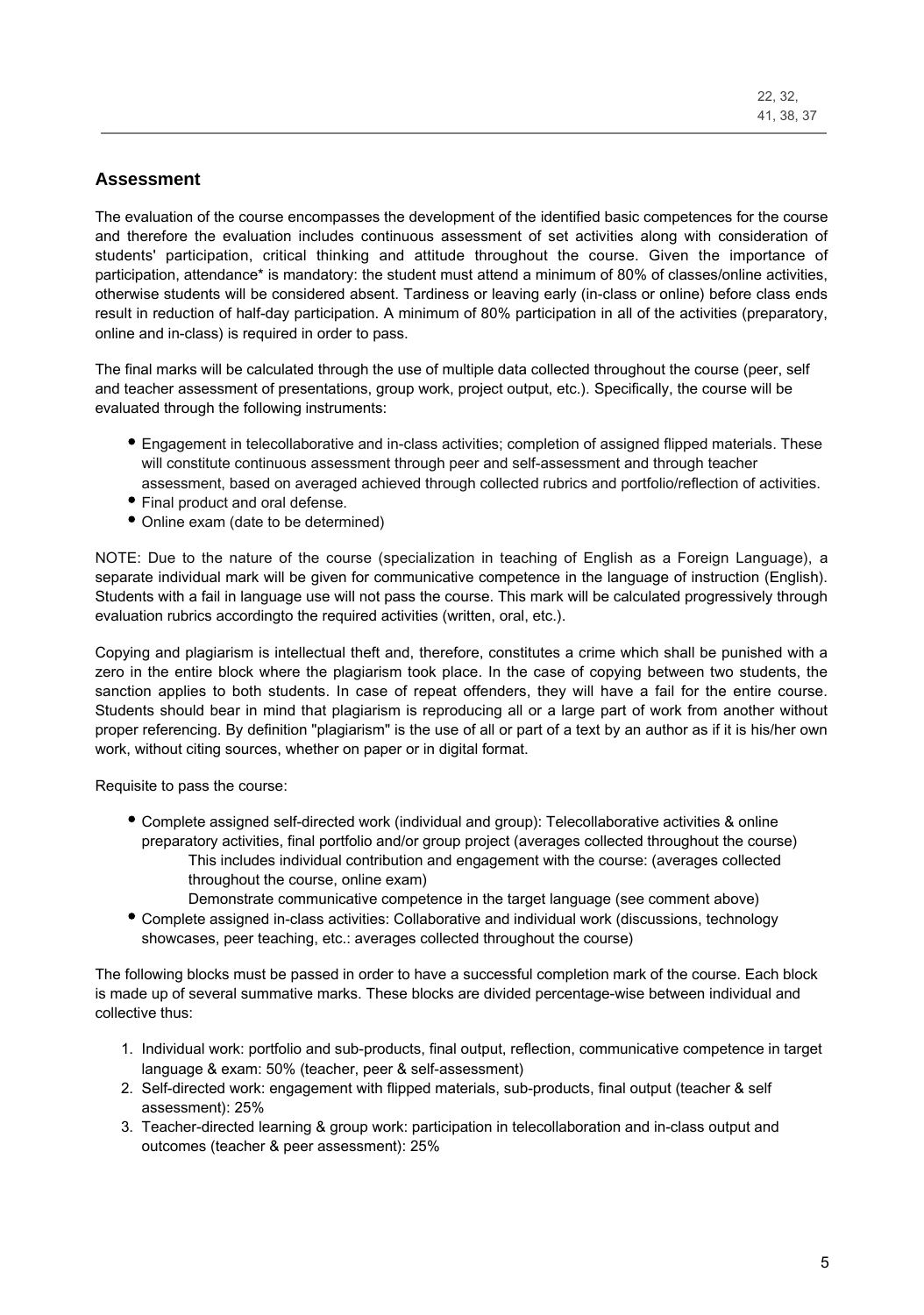### **Assessment**

The evaluation of the course encompasses the development of the identified basic competences for the course and therefore the evaluation includes continuous assessment of set activities along with consideration of students' participation, critical thinking and attitude throughout the course. Given the importance of participation, attendance\* is mandatory: the student must attend a minimum of 80% of classes/online activities, otherwise students will be considered absent. Tardiness or leaving early (in-class or online) before class ends result in reduction of half-day participation. A minimum of 80% participation in all of the activities (preparatory, online and in-class) is required in order to pass.

The final marks will be calculated through the use of multiple data collected throughout the course (peer, self and teacher assessment of presentations, group work, project output, etc.). Specifically, the course will be evaluated through the following instruments:

- Engagement in telecollaborative and in-class activities; completion of assigned flipped materials. These will constitute continuous assessment through peer and self-assessment and through teacher assessment, based on averaged achieved through collected rubrics and portfolio/reflection of activities.
- Final product and oral defense.
- Online exam (date to be determined)

NOTE: Due to the nature of the course (specialization in teaching of English as a Foreign Language), a separate individual mark will be given for communicative competence in the language of instruction (English). Students with a fail in language use will not pass the course. This mark will be calculated progressively through evaluation rubrics accordingto the required activities (written, oral, etc.).

Copying and plagiarism is intellectual theft and, therefore, constitutes a crime which shall be punished with a zero in the entire block where the plagiarism took place. In the case of copying between two students, the sanction applies to both students. In case of repeat offenders, they will have a fail for the entire course. Students should bear in mind that plagiarism is reproducing all or a large part of work from another without proper referencing. By definition "plagiarism" is the use of all or part of a text by an author as if it is his/her own work, without citing sources, whether on paper or in digital format.

Requisite to pass the course:

- Complete assigned self-directed work (individual and group): Telecollaborative activities & online preparatory activities, final portfolio and/or group project (averages collected throughout the course) This includes individual contribution and engagement with the course: (averages collected throughout the course, online exam)
	- Demonstrate communicative competence in the target language (see comment above)
- Complete assigned in-class activities: Collaborative and individual work (discussions, technology showcases, peer teaching, etc.: averages collected throughout the course)

The following blocks must be passed in order to have a successful completion mark of the course. Each block is made up of several summative marks. These blocks are divided percentage-wise between individual and collective thus:

- 1. Individual work: portfolio and sub-products, final output, reflection, communicative competence in target language & exam: 50% (teacher, peer & self-assessment)
- 2. Self-directed work: engagement with flipped materials, sub-products, final output (teacher & self assessment): 25%
- 3. Teacher-directed learning & group work: participation in telecollaboration and in-class output and outcomes (teacher & peer assessment): 25%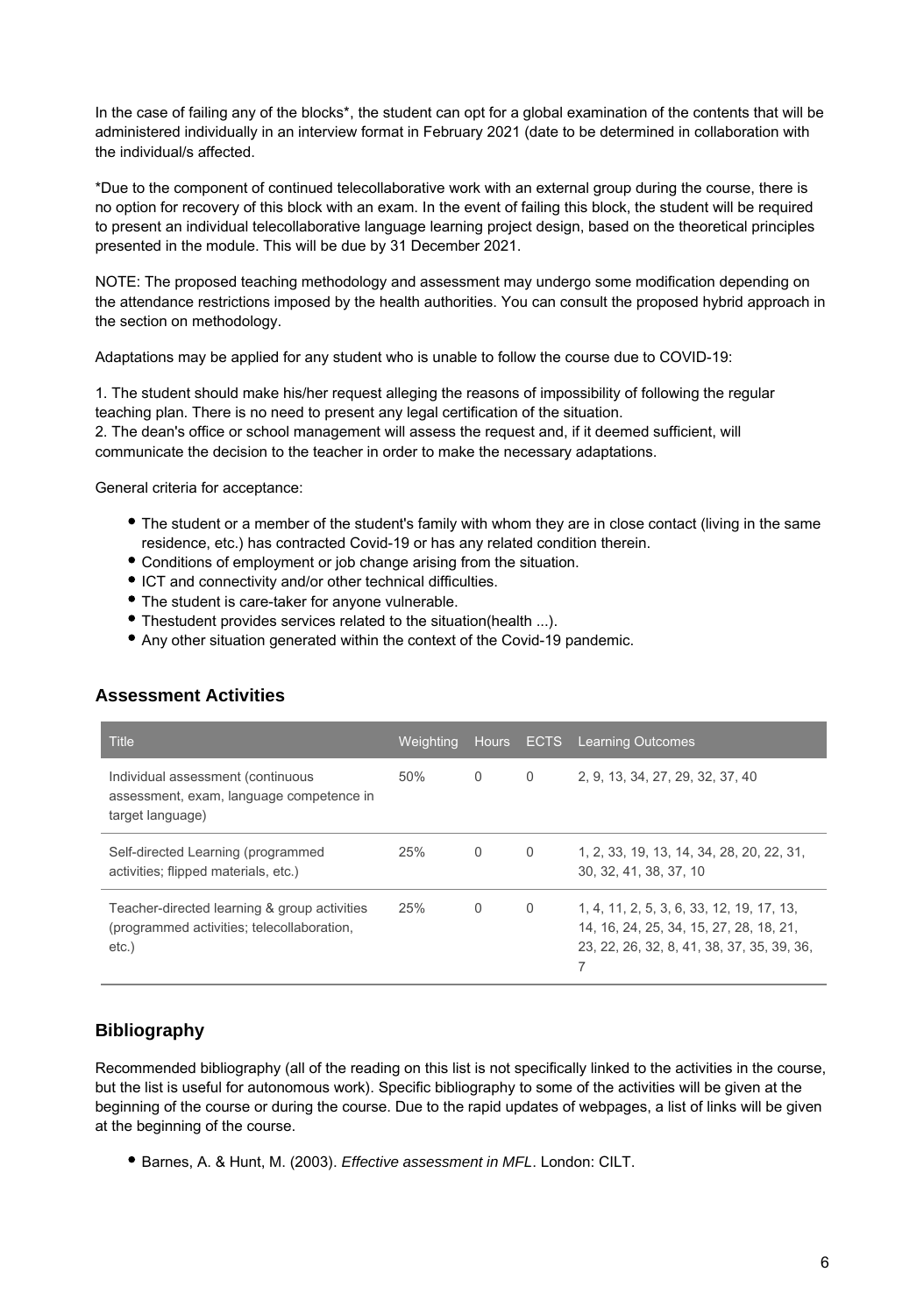In the case of failing any of the blocks\*, the student can opt for a global examination of the contents that will be administered individually in an interview format in February 2021 (date to be determined in collaboration with the individual/s affected.

\*Due to the component of continued telecollaborative work with an external group during the course, there is no option for recovery of this block with an exam. In the event of failing this block, the student will be required to present an individual telecollaborative language learning project design, based on the theoretical principles presented in the module. This will be due by 31 December 2021.

NOTE: The proposed teaching methodology and assessment may undergo some modification depending on the attendance restrictions imposed by the health authorities. You can consult the proposed hybrid approach in the section on methodology.

Adaptations may be applied for any student who is unable to follow the course due to COVID-19:

1. The student should make his/her request alleging the reasons of impossibility of following the regular teaching plan. There is no need to present any legal certification of the situation. 2. The dean's office or school management will assess the request and, if it deemed sufficient, will communicate the decision to the teacher in order to make the necessary adaptations.

General criteria for acceptance:

- The student or a member of the student's family with whom they are in close contact (living in the same residence, etc.) has contracted Covid-19 or has any related condition therein.
- Conditions of employment or job change arising from the situation.
- ICT and connectivity and/or other technical difficulties.
- The student is care-taker for anyone vulnerable.
- Thestudent provides services related to the situation(health ...).
- Any other situation generated within the context of the Covid-19 pandemic.

| <b>Title</b>                                                                                           | Weighting |          |   | Hours ECTS Learning Outcomes                                                                                                            |
|--------------------------------------------------------------------------------------------------------|-----------|----------|---|-----------------------------------------------------------------------------------------------------------------------------------------|
| Individual assessment (continuous<br>assessment, exam, language competence in<br>target language)      | 50%       | $\Omega$ | 0 | 2, 9, 13, 34, 27, 29, 32, 37, 40                                                                                                        |
| Self-directed Learning (programmed<br>activities; flipped materials, etc.)                             | 25%       | $\Omega$ | 0 | 1, 2, 33, 19, 13, 14, 34, 28, 20, 22, 31,<br>30, 32, 41, 38, 37, 10                                                                     |
| Teacher-directed learning & group activities<br>(programmed activities; telecollaboration,<br>$etc.$ ) | 25%       | $\Omega$ | 0 | 1, 4, 11, 2, 5, 3, 6, 33, 12, 19, 17, 13,<br>14, 16, 24, 25, 34, 15, 27, 28, 18, 21,<br>23, 22, 26, 32, 8, 41, 38, 37, 35, 39, 36,<br>7 |

#### **Assessment Activities**

### **Bibliography**

Recommended bibliography (all of the reading on this list is not specifically linked to the activities in the course, but the list is useful for autonomous work). Specific bibliography to some of the activities will be given at the beginning of the course or during the course. Due to the rapid updates of webpages, a list of links will be given at the beginning of the course.

Barnes, A. & Hunt, M. (2003). Effective assessment in MFL. London: CILT.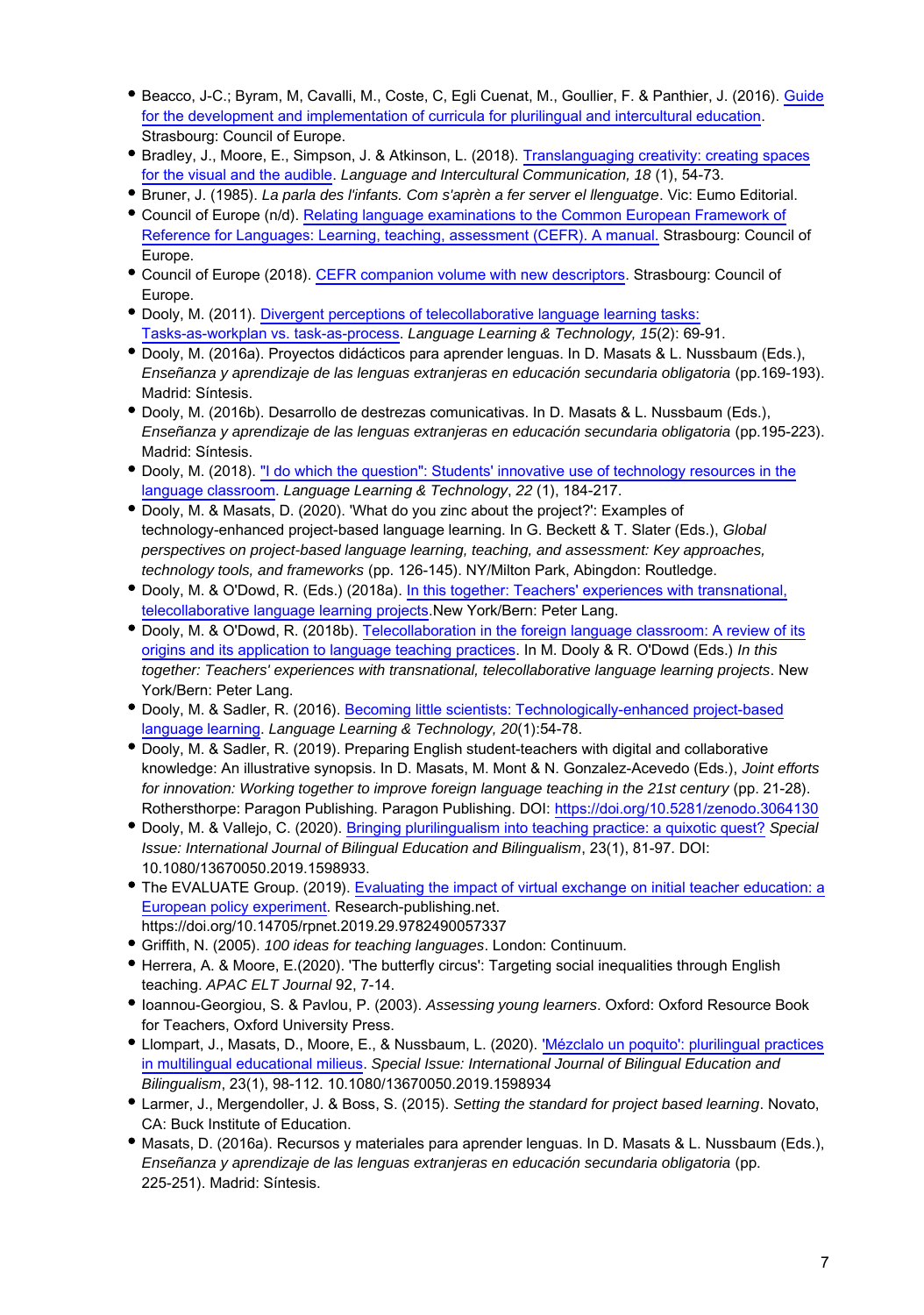- Beacco, J-C.; Byram, M, Cavalli, M., Coste, C, Egli Cuenat, M., Goullier, F. & Panthier, J. (2016). [Guide](https://www.coe.int/en/web/platform-plurilingual-intercultural-language-education/curricula-and-evaluation#{"28070509":[0]}) [for the development and implementation of curricula for plurilingual and intercultural education.](https://www.coe.int/en/web/platform-plurilingual-intercultural-language-education/curricula-and-evaluation#{"28070509":[0]}) Strasbourg: Council of Europe.
- Bradley, J., Moore, E., Simpson, J. & Atkinson, L. (2018). [Translanguaging creativity: creating spaces](https://www.tandfonline.com/doi/abs/10.1080/14708477.2017.1401120?journalCode=rmli20) [for the visual and the audible.](https://www.tandfonline.com/doi/abs/10.1080/14708477.2017.1401120?journalCode=rmli20) Language and Intercultural Communication, 18 (1), 54-73.
- Bruner, J. (1985). La parla des l'infants. Com s'aprèn a fer server el llenguatge. Vic: Eumo Editorial.
- Council of Europe (n/d). [Relating language examinations to the Common European Framework of](https://www.coe.int/en/web/common-european-framework-reference-languages/relating-examinations-to-the-cefr) [Reference for Languages: Learning, teaching, assessment \(CEFR\). A manual.](https://www.coe.int/en/web/common-european-framework-reference-languages/relating-examinations-to-the-cefr) Strasbourg: Council of Europe.
- Council of Europe (2018). [CEFR companion volume with new descriptors](https://rm.coe.int/cefr-companion-https://rm.coe.int/cefr-companion-volume-with-new-descriptors-2018/1680787989%20volume-with-new-descriptors-2018/1680787989). Strasbourg: Council of Europe.
- Dooly, M. (2011). [Divergent perceptions of telecollaborative language learning tasks:](http://llt.msu.edu/issues/june2011/dooly.pdf) [Tasks-as-workplan vs. task-as-process](http://llt.msu.edu/issues/june2011/dooly.pdf). Language Learning & Technology, 15(2): 69-91.
- Dooly, M. (2016a). Proyectos didácticos para aprender lenguas. In D. Masats & L. Nussbaum (Eds.), Enseñanza y aprendizaje de las lenguas extranjeras en educación secundaria obligatoria (pp.169-193). Madrid: Síntesis.
- Dooly, M. (2016b). Desarrollo de destrezas comunicativas. In D. Masats & L. Nussbaum (Eds.), Enseñanza y aprendizaje de las lenguas extranjeras en educación secundaria obligatoria (pp.195-223). Madrid: Síntesis.
- Dooly, M. (2018). ["I do which the question": Students' innovative use of technology resources in the](http://www.lltjournal.org/item/3024) [language classroom](http://www.lltjournal.org/item/3024). Language Learning & Technology, 22 (1), 184-217.
- Dooly, M. & Masats, D. (2020). 'What do you zinc about the project?': Examples of technology-enhanced project-based language learning. In G. Beckett & T. Slater (Eds.), Global perspectives on project-based language learning, teaching, and assessment: Key approaches, technology tools, and frameworks (pp. 126-145). NY/Milton Park, Abingdon: Routledge.
- Dooly, M. & O'Dowd, R. (Eds.) (2018a). [In this together: Teachers' experiences with transnational,](https://www.peterlang.com/view/9783034335331/9783034335331.00001.xml) [telecollaborative language learning projects.](https://www.peterlang.com/view/9783034335331/9783034335331.00001.xml)New York/Bern: Peter Lang.
- Dooly, M. & O'Dowd, R. (2018b). [Telecollaboration in the foreign language classroom: A review of its](https://www.peterlang.com/view/9783034335331/9783034335331.00005.xml) [origins and its application to language teaching practices.](https://www.peterlang.com/view/9783034335331/9783034335331.00005.xml) In M. Dooly & R. O'Dowd (Eds.) In this together: Teachers' experiences with transnational, telecollaborative language learning projects. New York/Bern: Peter Lang.
- Dooly, M. & Sadler, R. (2016). [Becoming little scientists: Technologically-enhanced project-based](http://llt.msu.edu/issues/february2016/doolysadler.pdf) [language learning.](http://llt.msu.edu/issues/february2016/doolysadler.pdf) Language Learning & Technology, 20(1):54-78.
- Dooly, M. & Sadler, R. (2019). Preparing English student-teachers with digital and collaborative knowledge: An illustrative synopsis. In D. Masats, M. Mont & N. Gonzalez-Acevedo (Eds.), Joint efforts for innovation: Working together to improve foreign language teaching in the 21st century (pp. 21-28). Rothersthorpe: Paragon Publishing. Paragon Publishing. DOI: <https://doi.org/10.5281/zenodo.3064130>
- Dooly, M. & Vallejo, C. (2020). [Bringing plurilingualism into teaching practice: a quixotic quest?](https://www.tandfonline.com/doi/full/10.1080/13670050.2019.1598933) Special Issue: International Journal of Bilingual Education and Bilingualism, 23(1), 81-97. DOI: 10.1080/13670050.2019.1598933.
- The EVALUATE Group. (2019). [Evaluating the impact of virtual exchange on initial teacher education: a](https://xpv.uab.cat/evlt-data/uploads/2019/03/,DanaInfo=.awxyCi0gs2j3p142yut.SyD,SSL+EVALUATE_EPE_2019.pdf) [European policy experiment](https://xpv.uab.cat/evlt-data/uploads/2019/03/,DanaInfo=.awxyCi0gs2j3p142yut.SyD,SSL+EVALUATE_EPE_2019.pdf). Research-publishing.net. https://doi.org/10.14705/rpnet.2019.29.9782490057337
- Griffith, N. (2005). 100 ideas for teaching languages. London: Continuum.
- Herrera, A. & Moore, E.(2020). 'The butterfly circus': Targeting social inequalities through English teaching. APAC ELT Journal 92, 7-14.
- **Ioannou-Georgiou, S. & Pavlou, P. (2003). Assessing young learners. Oxford: Oxford Resource Book** for Teachers, Oxford University Press.
- Llompart, J., Masats, D., Moore, E., & Nussbaum, L. (2020). ['Mézclalo un poquito': plurilingual practices](https://www.tandfonline.com/doi/abs/10.1080/13670050.2019.1598934?journalCode=rbeb20) [in multilingual educational milieus.](https://www.tandfonline.com/doi/abs/10.1080/13670050.2019.1598934?journalCode=rbeb20) Special Issue: International Journal of Bilingual Education and Bilingualism, 23(1), 98-112. 10.1080/13670050.2019.1598934
- Larmer, J., Mergendoller, J. & Boss, S. (2015). Setting the standard for project based learning. Novato, CA: Buck Institute of Education.
- Masats, D. (2016a). Recursos y materiales para aprender lenguas. In D. Masats & L. Nussbaum (Eds.), Enseñanza y aprendizaje de las lenguas extranjeras en educación secundaria obligatoria (pp. 225-251). Madrid: Síntesis.